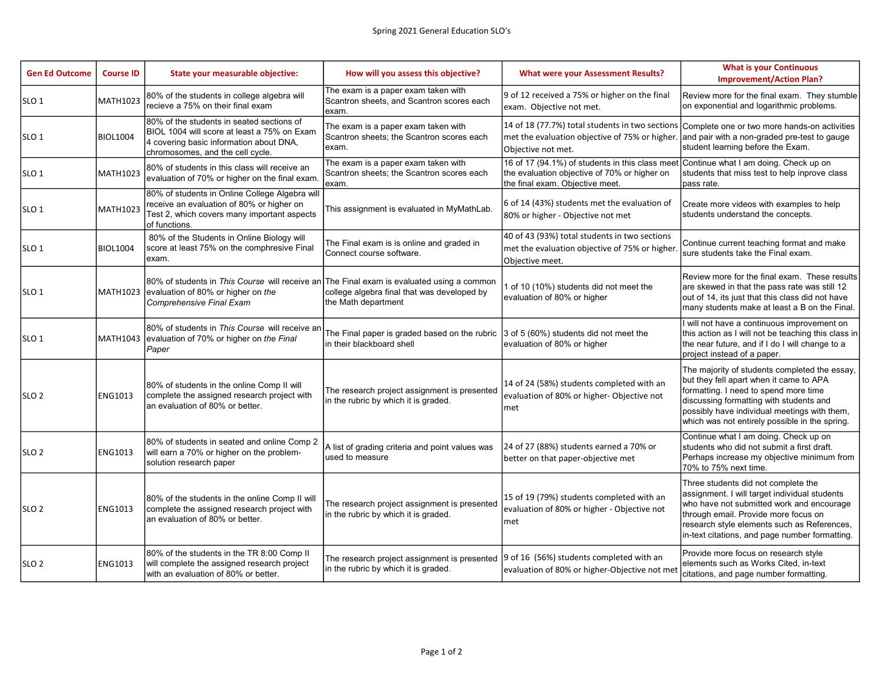| <b>Gen Ed Outcome</b> | <b>Course ID</b> | State your measurable objective:                                                                                                                                        | How will you assess this objective?                                                                                            | <b>What were your Assessment Results?</b>                                                                                          | <b>What is your Continuous</b><br><b>Improvement/Action Plan?</b>                                                                                                                                                                                                              |
|-----------------------|------------------|-------------------------------------------------------------------------------------------------------------------------------------------------------------------------|--------------------------------------------------------------------------------------------------------------------------------|------------------------------------------------------------------------------------------------------------------------------------|--------------------------------------------------------------------------------------------------------------------------------------------------------------------------------------------------------------------------------------------------------------------------------|
| SLO <sub>1</sub>      | <b>MATH1023</b>  | 80% of the students in college algebra will<br>recieve a 75% on their final exam                                                                                        | The exam is a paper exam taken with<br>Scantron sheets, and Scantron scores each<br>exam.                                      | 9 of 12 received a 75% or higher on the final<br>exam. Objective not met.                                                          | Review more for the final exam. They stumble<br>on exponential and logarithmic problems.                                                                                                                                                                                       |
| SLO <sub>1</sub>      | <b>BIOL1004</b>  | 80% of the students in seated sections of<br>BIOL 1004 will score at least a 75% on Exam<br>4 covering basic information about DNA,<br>chromosomes, and the cell cycle. | The exam is a paper exam taken with<br>Scantron sheets; the Scantron scores each<br>exam.                                      | 14 of 18 (77.7%) total students in two sections<br>met the evaluation objective of 75% or higher.<br>Objective not met.            | Complete one or two more hands-on activities<br>and pair with a non-graded pre-test to gauge<br>student learning before the Exam.                                                                                                                                              |
| SLO <sub>1</sub>      | <b>MATH1023</b>  | 80% of students in this class will receive an<br>evaluation of 70% or higher on the final exam                                                                          | The exam is a paper exam taken with<br>Scantron sheets: the Scantron scores each<br>exam.                                      | 16 of 17 (94.1%) of students in this class meet<br>the evaluation objective of 70% or higher on<br>the final exam. Objective meet. | Continue what I am doing. Check up on<br>students that miss test to help inprove class<br>pass rate.                                                                                                                                                                           |
| SLO <sub>1</sub>      | MATH1023         | 80% of students in Online College Algebra will<br>receive an evaluation of 80% or higher on<br>Test 2, which covers many important aspects<br>of functions.             | This assignment is evaluated in MyMathLab.                                                                                     | 6 of 14 (43%) students met the evaluation of<br>80% or higher - Objective not met                                                  | Create more videos with examples to help<br>students understand the concepts.                                                                                                                                                                                                  |
| SLO <sub>1</sub>      | <b>BIOL1004</b>  | 80% of the Students in Online Biology will<br>score at least 75% on the comphresive Final<br>exam.                                                                      | The Final exam is is online and graded in<br>Connect course software.                                                          | 40 of 43 (93%) total students in two sections<br>met the evaluation objective of 75% or higher<br>Objective meet.                  | Continue current teaching format and make<br>sure students take the Final exam.                                                                                                                                                                                                |
| SLO <sub>1</sub>      | <b>MATH1023</b>  | 80% of students in This Course will receive an The Final exam is evaluated using a common<br>evaluation of 80% or higher on the<br>Comprehensive Final Exam             | college algebra final that was developed by<br>the Math department                                                             | 1 of 10 (10%) students did not meet the<br>evaluation of 80% or higher                                                             | Review more for the final exam. These results<br>are skewed in that the pass rate was still 12<br>out of 14, its just that this class did not have<br>many students make at least a B on the Final.                                                                            |
| SLO <sub>1</sub>      | <b>MATH1043</b>  | 80% of students in This Course will receive an<br>evaluation of 70% or higher on the Final<br>Paper                                                                     | The Final paper is graded based on the rubric<br>in their blackboard shell                                                     | 3 of 5 (60%) students did not meet the<br>evaluation of 80% or higher                                                              | I will not have a continuous improvement on<br>this action as I will not be teaching this class in<br>the near future, and if I do I will change to a<br>project instead of a paper.                                                                                           |
| SLO <sub>2</sub>      | ENG1013          | 80% of students in the online Comp II will<br>complete the assigned research project with<br>an evaluation of 80% or better.                                            | The research project assignment is presented<br>in the rubric by which it is graded.                                           | 14 of 24 (58%) students completed with an<br>evaluation of 80% or higher- Objective not<br>met                                     | The majority of students completed the essay,<br>but they fell apart when it came to APA<br>formatting. I need to spend more time<br>discussing formatting with students and<br>possibly have individual meetings with them,<br>which was not entirely possible in the spring. |
| SLO <sub>2</sub>      | <b>ENG1013</b>   | 80% of students in seated and online Comp 2<br>will earn a 70% or higher on the problem-<br>solution research paper                                                     | A list of grading criteria and point values was<br>lused to measure                                                            | 24 of 27 (88%) students earned a 70% or<br>better on that paper-objective met                                                      | Continue what I am doing. Check up on<br>students who did not submit a first draft.<br>Perhaps increase my objective minimum from<br>70% to 75% next time.                                                                                                                     |
| SLO <sub>2</sub>      | <b>ENG1013</b>   | 80% of the students in the online Comp II will<br>complete the assigned research project with<br>an evaluation of 80% or better.                                        | The research project assignment is presented<br>in the rubric by which it is graded.                                           | 15 of 19 (79%) students completed with an<br>evaluation of 80% or higher - Objective not<br>met                                    | Three students did not complete the<br>assignment. I will target individual students<br>who have not submitted work and encourage<br>through email. Provide more focus on<br>research style elements such as References,<br>in-text citations, and page number formatting.     |
| SLO <sub>2</sub>      | <b>ENG1013</b>   | 80% of the students in the TR 8:00 Comp II<br>will complete the assigned research project<br>with an evaluation of 80% or better.                                       | The research project assignment is presented  9 of 16 (56%) students completed with an<br>in the rubric by which it is graded. | evaluation of 80% or higher-Objective not met                                                                                      | Provide more focus on research style<br>elements such as Works Cited, in-text<br>citations, and page number formatting.                                                                                                                                                        |